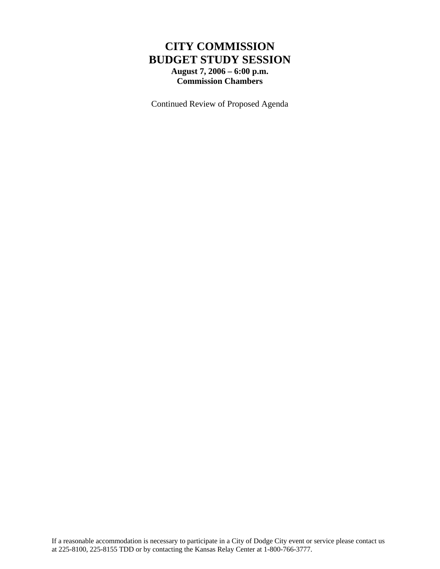#### **CITY COMMISSION BUDGET STUDY SESSION August 7, 2006 – 6:00 p.m. Commission Chambers**

Continued Review of Proposed Agenda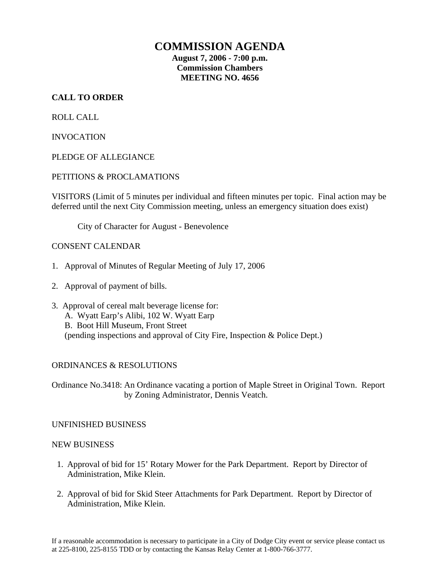#### **COMMISSION AGENDA**

**August 7, 2006 - 7:00 p.m. Commission Chambers MEETING NO. 4656** 

#### **CALL TO ORDER**

ROLL CALL

INVOCATION

PLEDGE OF ALLEGIANCE

#### PETITIONS & PROCLAMATIONS

VISITORS (Limit of 5 minutes per individual and fifteen minutes per topic. Final action may be deferred until the next City Commission meeting, unless an emergency situation does exist)

City of Character for August - Benevolence

#### CONSENT CALENDAR

- 1. Approval of Minutes of Regular Meeting of July 17, 2006
- 2. Approval of payment of bills.
- 3. Approval of cereal malt beverage license for: A. Wyatt Earp's Alibi, 102 W. Wyatt Earp B. Boot Hill Museum, Front Street (pending inspections and approval of City Fire, Inspection & Police Dept.)

#### ORDINANCES & RESOLUTIONS

Ordinance No.3418: An Ordinance vacating a portion of Maple Street in Original Town. Report by Zoning Administrator, Dennis Veatch.

#### UNFINISHED BUSINESS

#### NEW BUSINESS

- 1. Approval of bid for 15' Rotary Mower for the Park Department. Report by Director of Administration, Mike Klein.
- 2. Approval of bid for Skid Steer Attachments for Park Department. Report by Director of Administration, Mike Klein.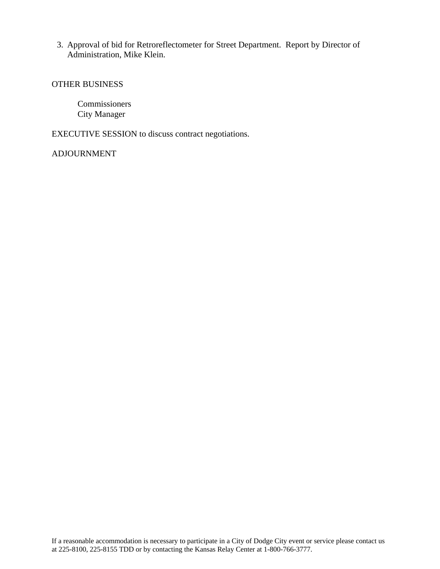3. Approval of bid for Retroreflectometer for Street Department. Report by Director of Administration, Mike Klein.

#### OTHER BUSINESS

Commissioners City Manager

EXECUTIVE SESSION to discuss contract negotiations.

#### ADJOURNMENT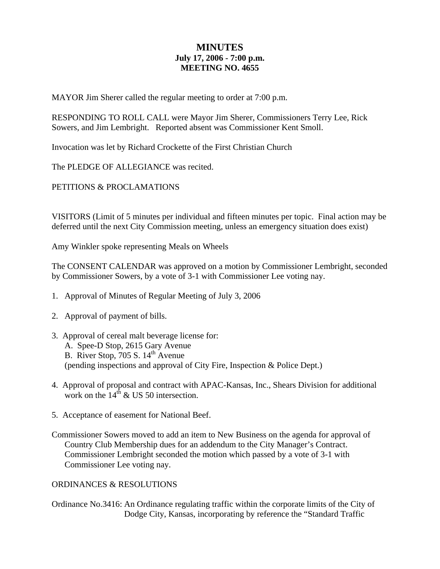#### **MINUTES July 17, 2006 - 7:00 p.m. MEETING NO. 4655**

MAYOR Jim Sherer called the regular meeting to order at 7:00 p.m.

RESPONDING TO ROLL CALL were Mayor Jim Sherer, Commissioners Terry Lee, Rick Sowers, and Jim Lembright. Reported absent was Commissioner Kent Smoll.

Invocation was let by Richard Crockette of the First Christian Church

The PLEDGE OF ALLEGIANCE was recited.

PETITIONS & PROCLAMATIONS

VISITORS (Limit of 5 minutes per individual and fifteen minutes per topic. Final action may be deferred until the next City Commission meeting, unless an emergency situation does exist)

Amy Winkler spoke representing Meals on Wheels

The CONSENT CALENDAR was approved on a motion by Commissioner Lembright, seconded by Commissioner Sowers, by a vote of 3-1 with Commissioner Lee voting nay.

- 1. Approval of Minutes of Regular Meeting of July 3, 2006
- 2. Approval of payment of bills.
- 3. Approval of cereal malt beverage license for: A. Spee-D Stop, 2615 Gary Avenue B. River Stop, 705 S.  $14<sup>th</sup>$  Avenue (pending inspections and approval of City Fire, Inspection & Police Dept.)
- 4. Approval of proposal and contract with APAC-Kansas, Inc., Shears Division for additional work on the  $14^{th}$  & US 50 intersection.
- 5. Acceptance of easement for National Beef.
- Commissioner Sowers moved to add an item to New Business on the agenda for approval of Country Club Membership dues for an addendum to the City Manager's Contract. Commissioner Lembright seconded the motion which passed by a vote of 3-1 with Commissioner Lee voting nay.

#### ORDINANCES & RESOLUTIONS

Ordinance No.3416: An Ordinance regulating traffic within the corporate limits of the City of Dodge City, Kansas, incorporating by reference the "Standard Traffic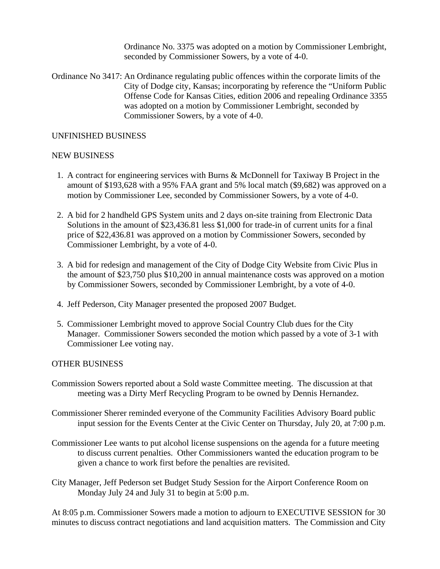Ordinance No. 3375 was adopted on a motion by Commissioner Lembright, seconded by Commissioner Sowers, by a vote of 4-0.

Ordinance No 3417: An Ordinance regulating public offences within the corporate limits of the City of Dodge city, Kansas; incorporating by reference the "Uniform Public Offense Code for Kansas Cities, edition 2006 and repealing Ordinance 3355 was adopted on a motion by Commissioner Lembright, seconded by Commissioner Sowers, by a vote of 4-0.

#### UNFINISHED BUSINESS

#### NEW BUSINESS

- 1. A contract for engineering services with Burns & McDonnell for Taxiway B Project in the amount of \$193,628 with a 95% FAA grant and 5% local match (\$9,682) was approved on a motion by Commissioner Lee, seconded by Commissioner Sowers, by a vote of 4-0.
- 2. A bid for 2 handheld GPS System units and 2 days on-site training from Electronic Data Solutions in the amount of \$23,436.81 less \$1,000 for trade-in of current units for a final price of \$22,436.81 was approved on a motion by Commissioner Sowers, seconded by Commissioner Lembright, by a vote of 4-0.
- 3. A bid for redesign and management of the City of Dodge City Website from Civic Plus in the amount of \$23,750 plus \$10,200 in annual maintenance costs was approved on a motion by Commissioner Sowers, seconded by Commissioner Lembright, by a vote of 4-0.
- 4. Jeff Pederson, City Manager presented the proposed 2007 Budget.
- 5. Commissioner Lembright moved to approve Social Country Club dues for the City Manager. Commissioner Sowers seconded the motion which passed by a vote of 3-1 with Commissioner Lee voting nay.

#### OTHER BUSINESS

- Commission Sowers reported about a Sold waste Committee meeting. The discussion at that meeting was a Dirty Merf Recycling Program to be owned by Dennis Hernandez.
- Commissioner Sherer reminded everyone of the Community Facilities Advisory Board public input session for the Events Center at the Civic Center on Thursday, July 20, at 7:00 p.m.
- Commissioner Lee wants to put alcohol license suspensions on the agenda for a future meeting to discuss current penalties. Other Commissioners wanted the education program to be given a chance to work first before the penalties are revisited.
- City Manager, Jeff Pederson set Budget Study Session for the Airport Conference Room on Monday July 24 and July 31 to begin at 5:00 p.m.

At 8:05 p.m. Commissioner Sowers made a motion to adjourn to EXECUTIVE SESSION for 30 minutes to discuss contract negotiations and land acquisition matters. The Commission and City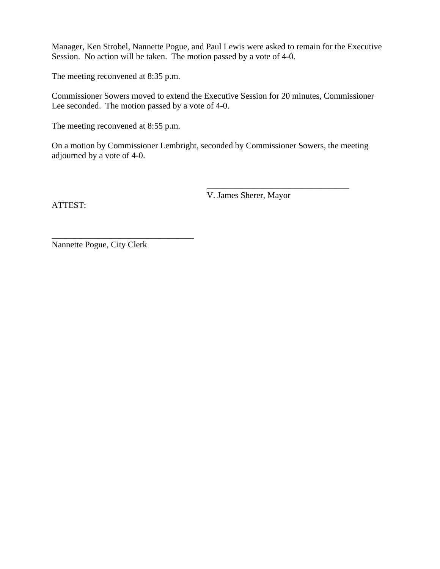Manager, Ken Strobel, Nannette Pogue, and Paul Lewis were asked to remain for the Executive Session. No action will be taken. The motion passed by a vote of 4-0.

The meeting reconvened at 8:35 p.m.

Commissioner Sowers moved to extend the Executive Session for 20 minutes, Commissioner Lee seconded. The motion passed by a vote of 4-0.

The meeting reconvened at 8:55 p.m.

On a motion by Commissioner Lembright, seconded by Commissioner Sowers, the meeting adjourned by a vote of 4-0.

 $\overline{\phantom{a}}$  , which is a set of the set of the set of the set of the set of the set of the set of the set of the set of the set of the set of the set of the set of the set of the set of the set of the set of the set of th

ATTEST:

V. James Sherer, Mayor

Nannette Pogue, City Clerk

\_\_\_\_\_\_\_\_\_\_\_\_\_\_\_\_\_\_\_\_\_\_\_\_\_\_\_\_\_\_\_\_\_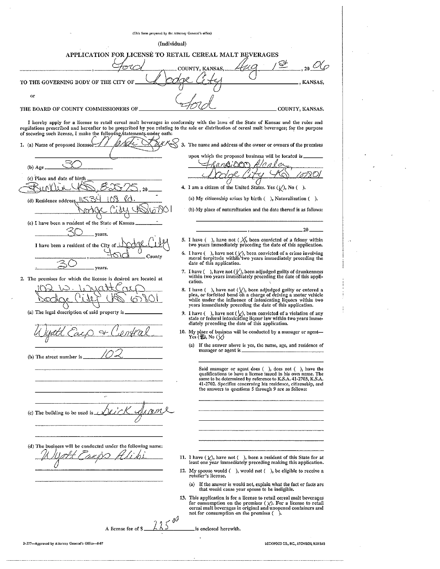(This form prepared by the Attorney General's office) (Individual) APPLICATION FOR LICENSE TO RETAIL CEREAL MALT BEVERAGES ⇔ TO THE GOVERNING BODY OF THE CITY OF KANSAS, or THE BOARD OF COUNTY COMMISSIONERS OF COUNTY, KANSAS. I hereby apply for a license to retail cereal malt heverages in conformity with the laws of the State of Kansas and the rules and regulations prescribed and hereafter to be prescribed by you relating to the sale or distribution of cereal malt beverages; for the purpose of securing such license, I make the following statements under oath:  $\times$ 1. (a) Name of proposed licensee 3. The name and address of the owner or owners of the premises upon which the proposed business will be located is ነጋዶጥ  $(b)$  Age (c) Place and date of birth 4. I am a citizen of the United States. Yes  $(\sqrt{)}$ , No (). (a) My citizenship arises by birth (), Naturalization (). (d) Residence addre (b) My place of naturalization and the date thereof is as follows: (e) I have been a resident of the State of Kansas vears 5. I have ( ), have not (  $\widetilde{\chi}$ , been convicted of a felony within two years immediately preceding the date of this application. I have been a resident of the City 6. I have  $( )$ , have not  $( \nlor ),$  been convicted of a crime involving moral turpitude within two years immediately preceding the date of this application. County ears. 7. I have  $($   $)$ , have not  $($   $\vee$   $)$ , been adjudged guilty of drunkenness within two years immediately preceding the date of this appli-2. The premises for which the license is desired are located at cation. 8. I have  $($   $)$ , have not  $(\sqrt{x})$ , been adjudged guilty or entered a plea, or forfeited bond on a charge of driving a motor vehicle while under the influence of intoxicating liquors within two years immediately preceding (a) The legal description of said property is 9. I have ( ), have not  $(\bigvee)$ , been convicted of a violation of any state or federal intoxicating liquor law within two years immediately preceding the date of this application. 10. (a) If the answer above is yes, the name, age, and residence of manager or agent is (b) The street number is Said manager or agent does (), does not (), have the qualifications to have a license issued in his own name. The same to be determined by reference to K.S.A. 41-2703, K.S.A. 41-2702. Specifies concerning his residence, citizenship, and the answers to questions 5 through 9 are as follows: J. (c) The building to be used is (d) The business will be conducted under the following name: 11. I have  $(\chi)$ , have not  $(\ )$ , been a resident of this State for at least one year immediately preceding making this application. 12. My spouse would  $(\quad)$ , would not  $(\quad)$ , be eligible to receive a retailer's license. If the answer is would not, explain what the fact or facts are  $(a)$ that would cause your spouse to be ineligible. 13. This annifcation is for a license to retail cereal malt beverages Answers application is for a method of the premises  $\langle \chi \rangle$ . For a license to retail<br>for consumption on the premises  $\langle \chi \rangle$ . For a license to retail A license fee of \$ is enclosed herewith. LOCKWOOD CO., INC., ATCHISON, KANSAS B-377-Approved by Attorney General's Office-8-87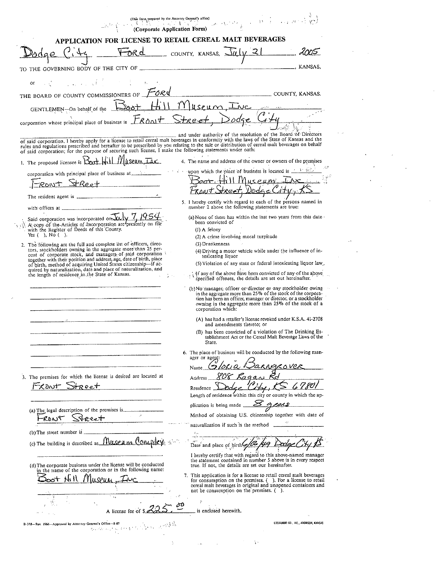|                                                                                                                                                                                                                                                                                                                                                                                                              | Corporate Application Form)                                                                                                                                                                                                                                                     |
|--------------------------------------------------------------------------------------------------------------------------------------------------------------------------------------------------------------------------------------------------------------------------------------------------------------------------------------------------------------------------------------------------------------|---------------------------------------------------------------------------------------------------------------------------------------------------------------------------------------------------------------------------------------------------------------------------------|
| APPLICATION FOR LICENSE TO RETAIL CEREAL MALT BEVERAGES                                                                                                                                                                                                                                                                                                                                                      |                                                                                                                                                                                                                                                                                 |
|                                                                                                                                                                                                                                                                                                                                                                                                              | Ford county, KANSAS, July 21<br><u>____</u> 2005                                                                                                                                                                                                                                |
| TO THE GOVERNING BODY OF THE CITY OF                                                                                                                                                                                                                                                                                                                                                                         | KANSAS,                                                                                                                                                                                                                                                                         |
| $\mathcal{L} = \{ \mathcal{L}_1, \mathcal{L}_2, \ldots, \mathcal{L}_n \}$<br>is e C                                                                                                                                                                                                                                                                                                                          |                                                                                                                                                                                                                                                                                 |
| THE BOARD OF COUNTY COMMISSIONERS OF <b>FORD</b>                                                                                                                                                                                                                                                                                                                                                             | COUNTY, KANSAS.                                                                                                                                                                                                                                                                 |
| GENTLEMEN-On behalf of the 1000+ Hill                                                                                                                                                                                                                                                                                                                                                                        | <u>Museum, Inc</u>                                                                                                                                                                                                                                                              |
| corporation whose principal place of business is $LR$ ont Stee et                                                                                                                                                                                                                                                                                                                                            |                                                                                                                                                                                                                                                                                 |
| of said corporation. I hereby apply for a license to retail cereal malt beverages in conformity with the laws of the State of Kansas and the<br>rules and regulations prescribed and hereafter to be prescribed by you relating to the sale or distribution of cereal malt beverages on behalf<br>of said corporation; for the purpose of securing such license, I make the following statements under oath: | and under authority of the resolution of the Board of Directors                                                                                                                                                                                                                 |
| 1. The proposed licensce is $\frac{\sum_{\text{tot}}  f_1 }{\sum_{\text{tot}}  f_2 }$ // $\frac{1}{\sum_{\text{tot}}  f_3 }$                                                                                                                                                                                                                                                                                 | 4. The name and address of the owner or owners of the premises                                                                                                                                                                                                                  |
|                                                                                                                                                                                                                                                                                                                                                                                                              | $\cdots$ $\cdots$ upon which the place of business is located is $\cdots$ .                                                                                                                                                                                                     |
| PRONT StReet                                                                                                                                                                                                                                                                                                                                                                                                 | Bor Hill Museum Inc.                                                                                                                                                                                                                                                            |
|                                                                                                                                                                                                                                                                                                                                                                                                              | Frowt Street, Dodge City, K.                                                                                                                                                                                                                                                    |
|                                                                                                                                                                                                                                                                                                                                                                                                              | 5. I hereby certify with regard to each of the persons named in<br>number 2 above the following statements are true:                                                                                                                                                            |
| Said corporation was incorporated on $\mathcal{F}_{4}$ $\sqrt{7}$ , $1954$ .<br>(A) copy of the Articles of Incorporation are presently on file                                                                                                                                                                                                                                                              | (a) None of them has within the last two years from this date $\cdot$<br>been convicted of                                                                                                                                                                                      |
| with the Register of Deeds of this County.<br>Yes $( )$ , No $( )$ .                                                                                                                                                                                                                                                                                                                                         | $(1)$ A felony<br>(2) A crime involving moral turpitude                                                                                                                                                                                                                         |
| 2. The following are the full and complete list of officers, direc-                                                                                                                                                                                                                                                                                                                                          | (3) Drunkenness                                                                                                                                                                                                                                                                 |
| tors, stockholders owning in the aggregate more than 25 per-<br>cent of corporate stock, and managers of said corporation                                                                                                                                                                                                                                                                                    | (4) Driving a motor vehicle while under the influence of in-<br>toxicating liquor                                                                                                                                                                                               |
| together with their position and address, age, date of birth, place<br>of birth, method of acquiring United States citizenship-if ac-                                                                                                                                                                                                                                                                        | (5) Violation of any state or federal intoxicating liquor law.                                                                                                                                                                                                                  |
| quired by naturalization, date and place of naturalization, and<br>the length of residence in the State of Kansas.                                                                                                                                                                                                                                                                                           | { if any of the above have been convicted of any of the above<br>specified offenses, the details are set out hereinafter.                                                                                                                                                       |
|                                                                                                                                                                                                                                                                                                                                                                                                              | (b) No manager, officer or director or any stockholder owing<br>in the aggregate more than 25% of the stock of the corpora-<br>tion has been an officer, manager or director, or a stockholder<br>owning in the aggregate more than 25% of the stock of a<br>corporation which. |
|                                                                                                                                                                                                                                                                                                                                                                                                              | (A) has had a retailer's license revoked under K.S.A. 41-2708                                                                                                                                                                                                                   |
|                                                                                                                                                                                                                                                                                                                                                                                                              | and amendments thereto; or<br>(B) has been convicted of a violation of The Drinking Es-<br>tablishment Act or the Cereal Malt Beverage Laws of the                                                                                                                              |
|                                                                                                                                                                                                                                                                                                                                                                                                              | State.                                                                                                                                                                                                                                                                          |
|                                                                                                                                                                                                                                                                                                                                                                                                              | 6. The place of business will be conducted by the following man-<br>ager or agent                                                                                                                                                                                               |
|                                                                                                                                                                                                                                                                                                                                                                                                              | NAKO VER<br>Name.                                                                                                                                                                                                                                                               |
| 3. The premises for which the license is desired are located at                                                                                                                                                                                                                                                                                                                                              | Address                                                                                                                                                                                                                                                                         |
| Frant Street                                                                                                                                                                                                                                                                                                                                                                                                 | Residence _                                                                                                                                                                                                                                                                     |
|                                                                                                                                                                                                                                                                                                                                                                                                              | Length of residence within this city or county in which the ap-                                                                                                                                                                                                                 |
|                                                                                                                                                                                                                                                                                                                                                                                                              | plication is being made _ > gens                                                                                                                                                                                                                                                |
| <del>st</del> eeet<br>لله ما ۳                                                                                                                                                                                                                                                                                                                                                                               | Method of obtaining U.S. citizenship together with date of<br>naturalization if such is the method                                                                                                                                                                              |
| (b) The street number is $\ldots$                                                                                                                                                                                                                                                                                                                                                                            |                                                                                                                                                                                                                                                                                 |
| (c) The building is described as <i>Museum</i> Corupt                                                                                                                                                                                                                                                                                                                                                        | Date and place of birth 400                                                                                                                                                                                                                                                     |
|                                                                                                                                                                                                                                                                                                                                                                                                              | I hereby certify that with regard to this above-named manager<br>the statement contained in number 5 above is in every respect                                                                                                                                                  |
| (d) The corporate business under the license will be conducted<br>in the name of the corporation or in the following name:                                                                                                                                                                                                                                                                                   | true. If not, the details are set our hereinafter.                                                                                                                                                                                                                              |
| $2$ oot $141$<br>7 Thispan                                                                                                                                                                                                                                                                                                                                                                                   | 7. This application is for a license to retail cereal malt beverages<br>for consumption on the premises. (). For a license to retail                                                                                                                                            |
|                                                                                                                                                                                                                                                                                                                                                                                                              | cereal malt beverages in original and unopened containers and<br>not be consumption on the premises. $($ ).                                                                                                                                                                     |
|                                                                                                                                                                                                                                                                                                                                                                                                              |                                                                                                                                                                                                                                                                                 |
| A license fee of \$.                                                                                                                                                                                                                                                                                                                                                                                         | is enclosed herewith.                                                                                                                                                                                                                                                           |
| B-378-Rev. 1966-Approved by Attorney General's Office-8-87                                                                                                                                                                                                                                                                                                                                                   | LOCKWOOD CO., INC., ATCHISON, KANSAS                                                                                                                                                                                                                                            |
|                                                                                                                                                                                                                                                                                                                                                                                                              |                                                                                                                                                                                                                                                                                 |
| ż                                                                                                                                                                                                                                                                                                                                                                                                            | 原子                                                                                                                                                                                                                                                                              |

 $\sim$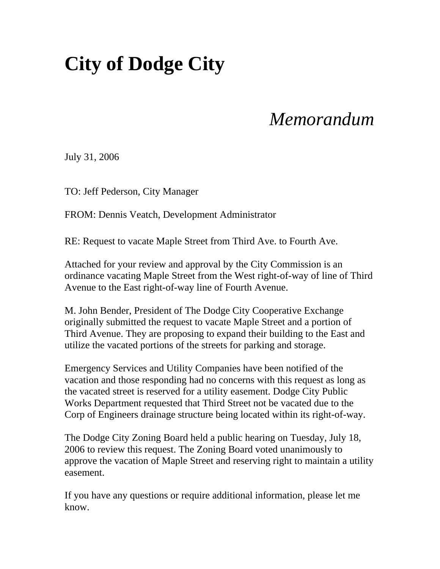### **City of Dodge City**

### *Memorandum*

July 31, 2006

TO: Jeff Pederson, City Manager

FROM: Dennis Veatch, Development Administrator

RE: Request to vacate Maple Street from Third Ave. to Fourth Ave.

Attached for your review and approval by the City Commission is an ordinance vacating Maple Street from the West right-of-way of line of Third Avenue to the East right-of-way line of Fourth Avenue.

M. John Bender, President of The Dodge City Cooperative Exchange originally submitted the request to vacate Maple Street and a portion of Third Avenue. They are proposing to expand their building to the East and utilize the vacated portions of the streets for parking and storage.

Emergency Services and Utility Companies have been notified of the vacation and those responding had no concerns with this request as long as the vacated street is reserved for a utility easement. Dodge City Public Works Department requested that Third Street not be vacated due to the Corp of Engineers drainage structure being located within its right-of-way.

The Dodge City Zoning Board held a public hearing on Tuesday, July 18, 2006 to review this request. The Zoning Board voted unanimously to approve the vacation of Maple Street and reserving right to maintain a utility easement.

If you have any questions or require additional information, please let me know.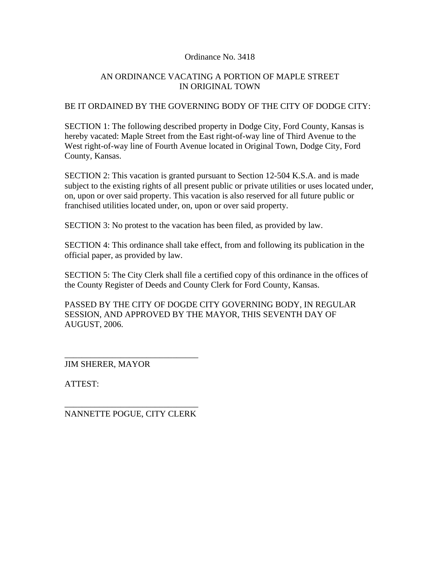#### Ordinance No. 3418

#### AN ORDINANCE VACATING A PORTION OF MAPLE STREET IN ORIGINAL TOWN

#### BE IT ORDAINED BY THE GOVERNING BODY OF THE CITY OF DODGE CITY:

SECTION 1: The following described property in Dodge City, Ford County, Kansas is hereby vacated: Maple Street from the East right-of-way line of Third Avenue to the West right-of-way line of Fourth Avenue located in Original Town, Dodge City, Ford County, Kansas.

SECTION 2: This vacation is granted pursuant to Section 12-504 K.S.A. and is made subject to the existing rights of all present public or private utilities or uses located under, on, upon or over said property. This vacation is also reserved for all future public or franchised utilities located under, on, upon or over said property.

SECTION 3: No protest to the vacation has been filed, as provided by law.

SECTION 4: This ordinance shall take effect, from and following its publication in the official paper, as provided by law.

SECTION 5: The City Clerk shall file a certified copy of this ordinance in the offices of the County Register of Deeds and County Clerk for Ford County, Kansas.

PASSED BY THE CITY OF DOGDE CITY GOVERNING BODY, IN REGULAR SESSION, AND APPROVED BY THE MAYOR, THIS SEVENTH DAY OF AUGUST, 2006.

JIM SHERER, MAYOR

ATTEST:

\_\_\_\_\_\_\_\_\_\_\_\_\_\_\_\_\_\_\_\_\_\_\_\_\_\_\_\_\_\_\_ NANNETTE POGUE, CITY CLERK

\_\_\_\_\_\_\_\_\_\_\_\_\_\_\_\_\_\_\_\_\_\_\_\_\_\_\_\_\_\_\_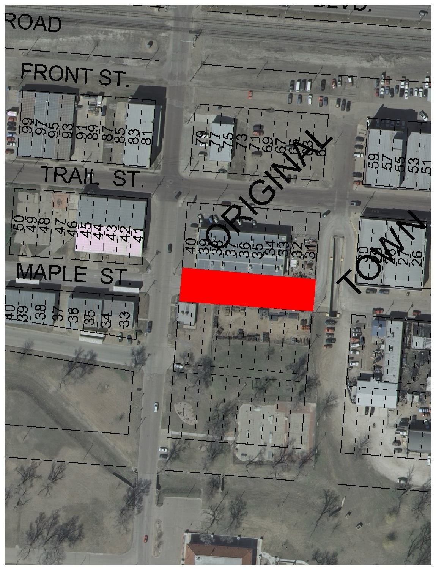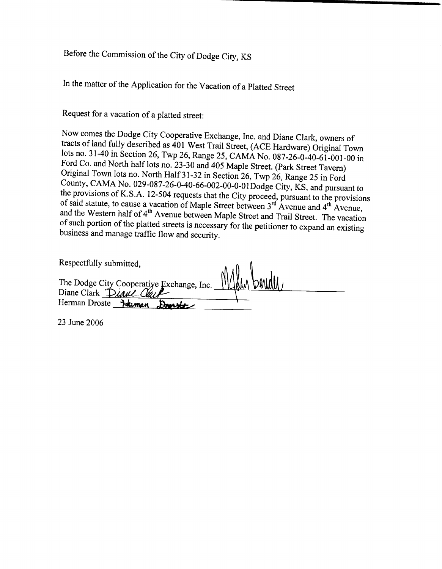### Before the Commission of the City of Dodge City, KS

In the matter of the Application for the Vacation of a Platted Street

Request for a vacation of a platted street:

Now comes the Dodge City Cooperative Exchange, Inc. and Diane Clark, owners of tracts of land fully described as 401 West Trail Street, (ACE Hardware) Original Town lots no. 31-40 in Section 26, Twp 26, Range 25, CAMA No. 087-26-0-40-61-001-00 in Ford Co. and North half lots no. 23-30 and 405 Maple Street. (Park Street Tavern) Original Town lots no. North Half 31-32 in Section 26, Twp 26, Range 25 in Ford County, CAMA No. 029-087-26-0-40-66-002-00-0-01Dodge City, KS, and pursuant to the provisions of K.S.A. 12-504 requests that the City proceed, pursuant to the provisions of said statute, to cause a vacation of Maple Street between 3<sup>rd</sup> Avenue and 4<sup>th</sup> Avenue, and the Western half of 4<sup>th</sup> Avenue between Maple Street and Trail Street. The vacation of such portion of the platted streets is necessary for the petitioner to expand an existing business and manage traffic flow and security.

| Respectfully submitted,                                            |  |
|--------------------------------------------------------------------|--|
| The Dodge City Cooperative Exchange, Inc. Diane Clark <i>Diane</i> |  |
|                                                                    |  |
| Herman Droste Jokingn<br>$B_{\text{nov}t}$                         |  |

23 June 2006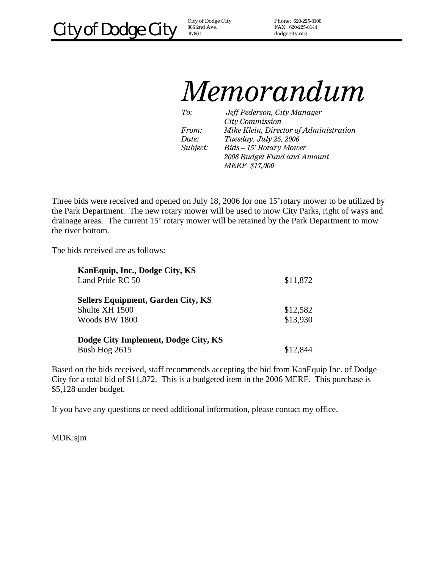806 2nd Ave. 67801

Phone: 620-225-8100 FAX: 620-225-8144 dodgecity.org

## *Memorandum*

*To: Jeff Pederson, City Manager City Commission From: Mike Klein, Director of Administration Date: Tuesday, July 25, 2006 Subject: Bids – 15' Rotary Mower 2006 Budget Fund and Amount MERF \$17,000* 

Three bids were received and opened on July 18, 2006 for one 15'rotary mower to be utilized by the Park Department. The new rotary mower will be used to mow City Parks, right of ways and drainage areas. The current 15' rotary mower will be retained by the Park Department to mow the river bottom.

The bids received are as follows:

| Kan Equip, Inc., Dodge City, KS           |          |
|-------------------------------------------|----------|
| Land Pride RC 50                          | \$11,872 |
| <b>Sellers Equipment, Garden City, KS</b> |          |
| Shulte XH 1500                            | \$12,582 |
| Woods BW 1800                             | \$13,930 |
| Dodge City Implement, Dodge City, KS      |          |
| Bush Hog 2615                             | \$12,844 |

Based on the bids received, staff recommends accepting the bid from KanEquip Inc. of Dodge City for a total bid of \$11,872. This is a budgeted item in the 2006 MERF. This purchase is \$5,128 under budget.

If you have any questions or need additional information, please contact my office.

MDK:sjm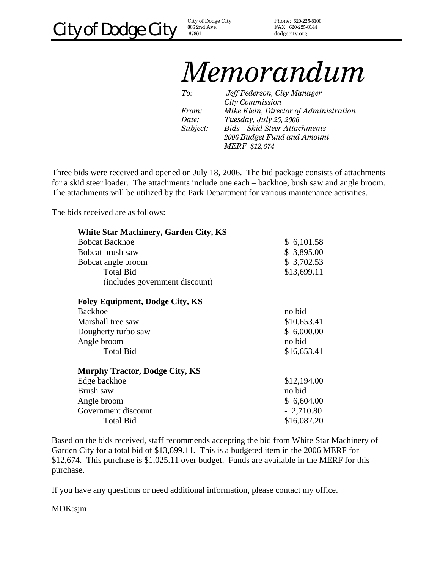678 01 City of Dodge City  $806\,2\mathrm{nd}$  Ave.

Phone: 620-225-8100 FAX: 620-225-8144 dodgecity.org

## *Memorandum*

*To: Jeff Pederson, City Manager City Commission From: Mike Klein, Director of Administration Date: Tuesday, July 25, 2006 Subject: Bids – Skid Steer Attachments 2006 Budget Fund and Amount MERF \$12,674* 

Three bids were received and opened on July 18, 2006. The bid package consists of attachments for a skid steer loader. The attachments include one each – backhoe, bush saw and angle broom. The attachments will be utilized by the Park Department for various maintenance activities.

The bids received are as follows:

| <b>White Star Machinery, Garden City, KS</b> |             |
|----------------------------------------------|-------------|
| <b>Bobcat Backhoe</b>                        | \$6,101.58  |
| Bobcat brush saw                             | \$3,895.00  |
| Bobcat angle broom                           | \$3,702.53  |
| <b>Total Bid</b>                             | \$13,699.11 |
| (includes government discount)               |             |
| <b>Foley Equipment, Dodge City, KS</b>       |             |
| <b>Backhoe</b>                               | no bid      |
| Marshall tree saw                            | \$10,653.41 |
| Dougherty turbo saw                          | \$6,000.00  |
| Angle broom                                  | no bid      |
| <b>Total Bid</b>                             | \$16,653.41 |
| <b>Murphy Tractor, Dodge City, KS</b>        |             |
| Edge backhoe                                 | \$12,194.00 |
| Brush saw                                    | no bid      |
| Angle broom                                  | \$6,604.00  |
| Government discount                          | $-2,710.80$ |
| <b>Total Bid</b>                             | \$16,087.20 |

Based on the bids received, staff recommends accepting the bid from White Star Machinery of Garden City for a total bid of \$13,699.11. This is a budgeted item in the 2006 MERF for \$12,674. This purchase is \$1,025.11 over budget. Funds are available in the MERF for this purchase.

If you have any questions or need additional information, please contact my office.

MDK:sjm